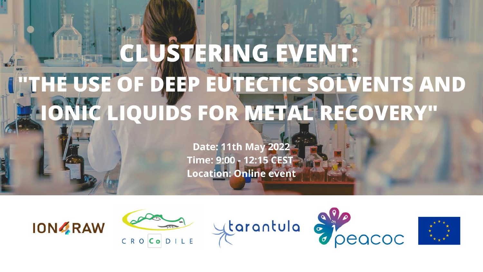# CLUSTERING EVENT: UTHE USE OF DEEP EUTECTIC SOLVENTS AND **HONIC LIQUIDS FOR METAL RECOVERY"**

Date: 11th May 2022 Time: 9:00 - 12:15 CEST **Location: Online event** 









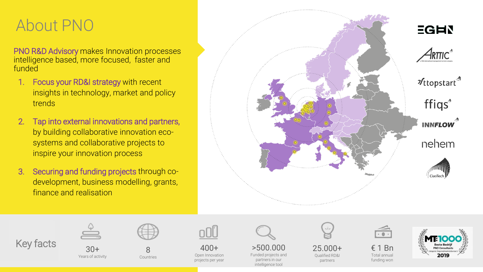## About PNO

PNO R&D Advisory makes Innovation processes intelligence based, more focused, faster and funded

- 1. Focus your RD&I strategy with recent insights in technology, market and policy trends
- 2. Tap into external innovations and partners, by building collaborative innovation ecosystems and collaborative projects to inspire your innovation process
- 3. Securing and funding projects through codevelopment, business modelling, grants, finance and realisation







Years of activity



400+ Open Innovation projects per year

>500.000 Funded projects and partners in our

intelligence tool



25.000+ Qualified RD&I partners

€ 1 Bn Total annual funding won

 $\overline{\cdot\cdot\cdot}$ 

2019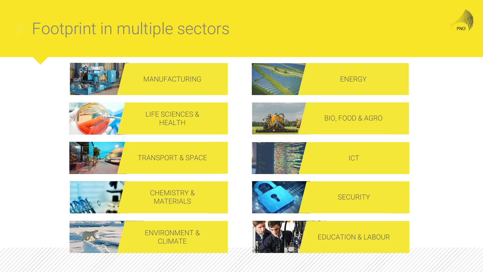## Footprint in multiple sectors



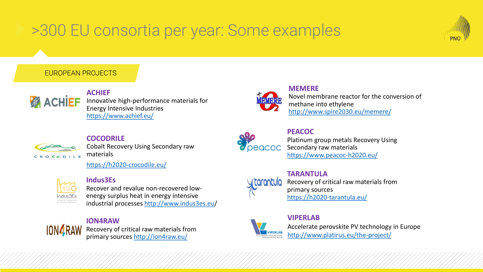# >300 EU consortia per year: Some examples



#### EUROPEAN PROJECTS



**ACHIEF** Innovative high-performance materials for Energy Intensive Industries <https://www.achief.eu/>



#### **COCODRILE**

Cobalt Recovery Using Secondary raw materials

<https://h2020-crocodile.eu/>



#### **Indus3Es**

Recover and revalue non-recovered lowenergy surplus heat in energy intensive industrial processes [http://www.indus3es.eu](http://www.industrial-biotechnology.eu/)/

#### **ION4RAW**

**ION4RAW** 

Recovery of critical raw materials from primary sources <http://ion4raw.eu/>



**MEMERE** Novel membrane reactor for the conversion of methane into ethylene <http://www.spire2030.eu/memere/>



**PEACOC** Platinum group metals Recovery Using Secondary raw materials <https://www.peacoc-h2020.eu/>



**TARANTULA** Recovery of critical raw materials from primary sources

<https://h2020-tarantula.eu/>

### **VIPERLAB**

Accelerate perovskite PV technology in Europe <http://www.platirus.eu/the-project/>

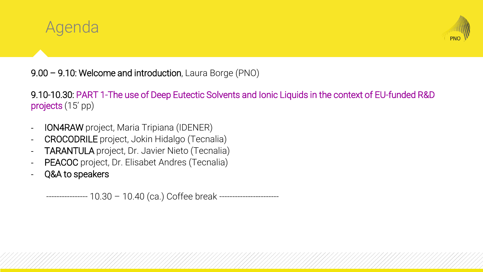



9.00 – 9.10: Welcome and introduction, Laura Borge (PNO)

9.10-10.30: PART 1-The use of Deep Eutectic Solvents and Ionic Liquids in the context of EU-funded R&D projects (15' pp)

- ION4RAW project, Maria Tripiana (IDENER)
- CROCODRILE project, Jokin Hidalgo (Tecnalia)
- TARANTULA project, Dr. Javier Nieto (Tecnalia)
- PEACOC project, Dr. Elisabet Andres (Tecnalia)
- Q&A to speakers

---------------- 10.30 – 10.40 (ca.) Coffee break -----------------------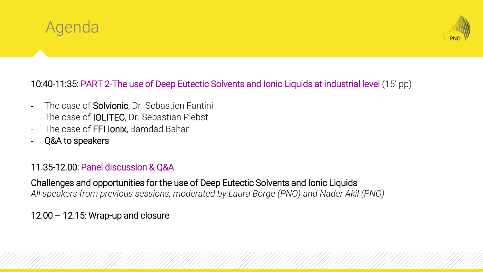



### 10:40-11:35: PART 2-The use of Deep Eutectic Solvents and Ionic Liquids at industrial level (15' pp)

- The case of **Solvionic**, Dr. Sebastien Fantini
- The case of **IOLITEC**, Dr. Sebastian Plebst
- The case of FFI Ionix, Bamdad Bahar
- Q&A to speakers

### 11.35-12.00: Panel discussion & Q&A

Challenges and opportunities for the use of Deep Eutectic Solvents and Ionic Liquids *All speakers from previous sessions, moderated by Laura Borge (PNO) and Nader Akil (PNO)*

### 12.00 – 12.15: Wrap-up and closure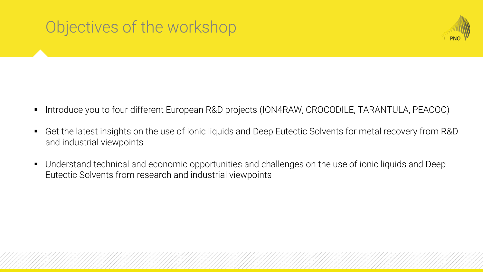# Objectives of the workshop



- Introduce you to four different European R&D projects (ION4RAW, CROCODILE, TARANTULA, PEACOC)
- Get the latest insights on the use of ionic liquids and Deep Eutectic Solvents for metal recovery from R&D and industrial viewpoints
- Understand technical and economic opportunities and challenges on the use of ionic liquids and Deep Eutectic Solvents from research and industrial viewpoints